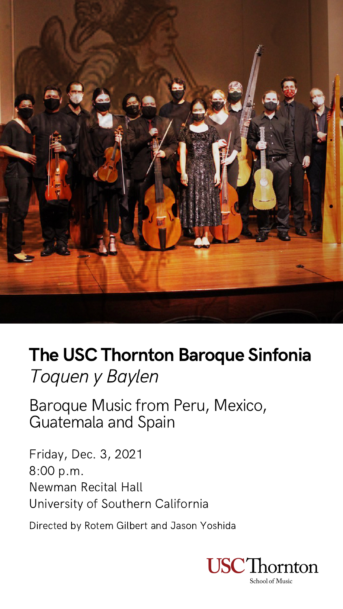Friday, Dec. 3, 2021 8:00 p.m. Newman Recital Hall University of Southern California

Directed by Rotem Gilbert and Jason Yoshida



School of Music



# The USC Thornton Baroque Sinfonia Toquen y Baylen

Baroque Music from Peru, Mexico, Guatemala and Spain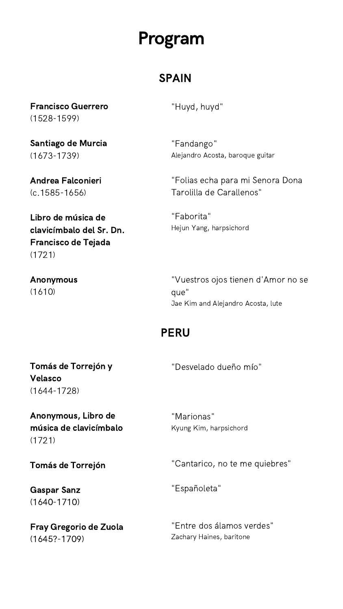"Huyd, huyd"

"Fandango" Alejandro Acosta, baroque guitar

"Folias echa para mi Senora Dona Tarolilla de Carallenos"

"Faborita" Hejun Yang, harpsichord

"Vuestros ojos tienen d'Amor no se que" Jae Kim and Alejandro Acosta, lute

"Desvelado dueño mío"

"Marionas" Kyung Kim, harpsichord

"Cantarico, no te me quiebres"

"Españoleta"

"Entre dos álamos verdes" Zachary Haines, baritone

Francisco Guerrero (1528-1599)

Santiago de Murcia (1673-1739)

Andrea Falconieri (c.1585-1656)

Libro de música de clavicímbalo del Sr. Dn. Francisco de Tejada (1721)

Anonymous (1610)

Tomás de Torrejón y Velasco

(1644-1728)

Anonymous, Libro de música de clavicímbalo (1721)

Tomás de Torrejón

Gaspar Sanz (1640-1710)

Fray Gregorio de Zuola (1645?-1709)

# Program

### SPAIN

### PERU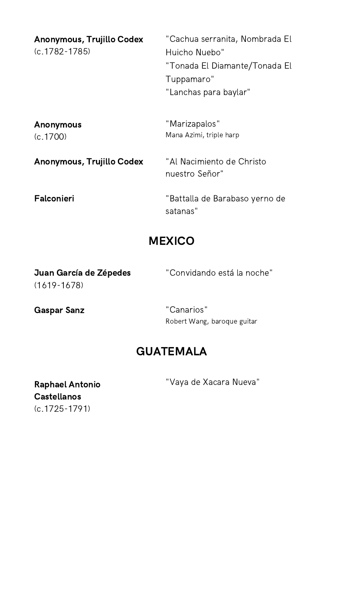| <b>Anonymous, Trujillo Codex</b><br>$(c.1782 - 1785)$ | "Cachua serranita, Nombrada El<br>Huicho Nuebo"<br>"Tonada El Diamante/Tonada El<br>Tuppamaro"<br>"Lanchas para baylar" |
|-------------------------------------------------------|-------------------------------------------------------------------------------------------------------------------------|
| <b>Anonymous</b><br>(c.1700)                          | "Marizapalos"<br>Mana Azimi, triple harp                                                                                |
| Anonymous, Trujillo Codex                             | "Al Nacimiento de Christo<br>nuestro Señor"                                                                             |
| <b>Falconieri</b>                                     | "Battalla de Barabaso yerno de<br>satanas"                                                                              |
| <b>MEXICO</b>                                         |                                                                                                                         |
| Juan García de Zépedes<br>$(1619 - 1678)$             | "Convidando está la noche"                                                                                              |
| <b>Gaspar Sanz</b>                                    | "Canarios"<br>Robert Wang, baroque guitar                                                                               |

### **GUATEMALA**

"Vaya de Xacara Nueva"

Raphael Antonio Castellanos (c.1725-1791)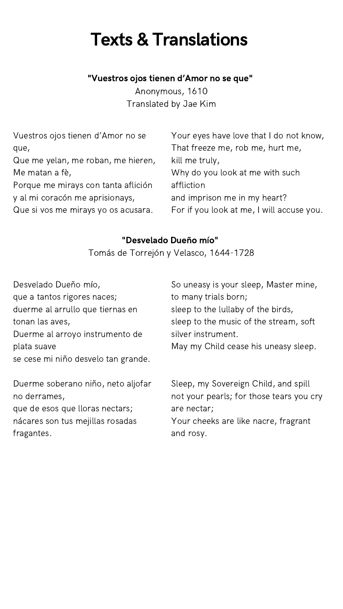| Vuestros ojos tienen d'Amor no se   | Your eyes have love that I do not know,   |
|-------------------------------------|-------------------------------------------|
| que,                                | That freeze me, rob me, hurt me,          |
| Que me yelan, me roban, me hieren,  | kill me truly,                            |
| Me matan a fè,                      | Why do you look at me with such           |
| Porque me mirays con tanta aflición | affliction                                |
| y al mi coracón me aprisionays,     | and imprison me in my heart?              |
| Que si vos me mirays yo os acusara. | For if you look at me, I will accuse you. |
|                                     |                                           |

Duerme soberano niño, neto aljofar no derrames, que de esos que lloras nectars;

nácares son tus mejillas rosadas fragantes.

# Texts & Translations

| Desvelado Dueño mío,                | So uneasy is your sleep, Master mine,  |
|-------------------------------------|----------------------------------------|
| que a tantos rigores naces;         | to many trials born;                   |
| duerme al arrullo que tiernas en    | sleep to the lullaby of the birds,     |
| tonan las aves,                     | sleep to the music of the stream, soft |
| Duerme al arroyo instrumento de     | silver instrument.                     |
| plata suave                         | May my Child cease his uneasy sleep.   |
| se cese mi niño desvelo tan grande. |                                        |

Sleep, my Sovereign Child, and spill not your pearls; for those tears you cry are nectar; Your cheeks are like nacre, fragrant and rosy.

"Vuestros ojos tienen d'Amor no se que"

Anonymous, 1610 Translated by Jae Kim

#### "Desvelado Dueño mío"

Tomás de Torrejón y Velasco, 1644-1728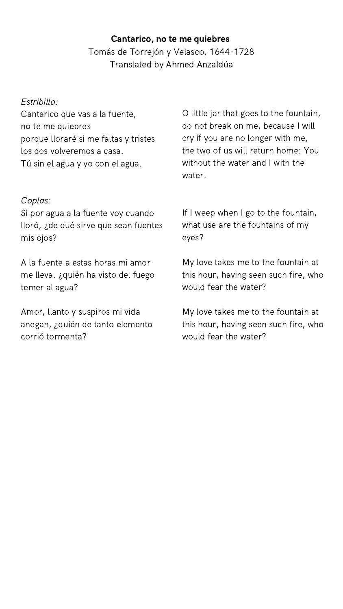#### Estribillo:

Cantarico que vas a la fuente, no te me quiebres porque lloraré si me faltas y tristes los dos volveremos a casa. Tú sin el agua y yo con el agua.

#### Coplas:

Si por agua a la fuente voy cuando lloró, ¿de qué sirve que sean fuentes mis ojos?

A la fuente a estas horas mi amor me lleva. ¿quién ha visto del fuego temer al agua?

Amor, llanto y suspiros mi vida anegan, ¿quién de tanto elemento corrió tormenta?

O little jar that goes to the fountain, do not break on me, because I will cry if you are no longer with me, the two of us will return home: You without the water and I with the water.

If I weep when I go to the fountain, what use are the fountains of my eyes?

My love takes me to the fountain at this hour, having seen such fire, who would fear the water?

My love takes me to the fountain at this hour, having seen such fire, who would fear the water?

#### Cantarico, no te me quiebres

Tomás de Torrejón y Velasco, 1644-1728 Translated by Ahmed Anzaldúa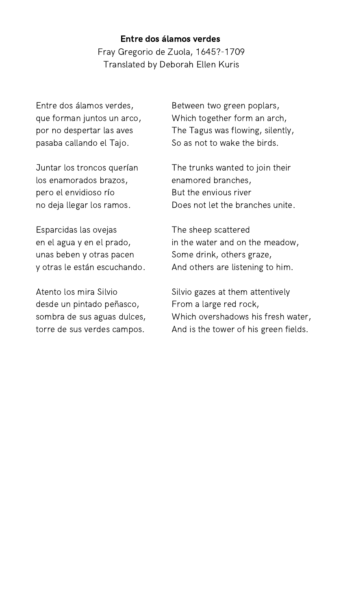Entre dos álamos verdes, que forman juntos un arco, por no despertar las aves pasaba callando el Tajo.

Juntar los troncos querían los enamorados brazos, pero el envidioso río no deja llegar los ramos.

Esparcidas las ovejas en el agua y en el prado, unas beben y otras pacen y otras le están escuchando.

Atento los mira Silvio desde un pintado peñasco, sombra de sus aguas dulces, torre de sus verdes campos.

Between two green poplars, Which together form an arch, The Tagus was flowing, silently, So as not to wake the birds.

The trunks wanted to join their enamored branches, But the envious river Does not let the branches unite.

The sheep scattered in the water and on the meadow, Some drink, others graze, And others are listening to him.

Silvio gazes at them attentively From a large red rock, Which overshadows his fresh water, And is the tower of his green fields.

#### Entre dos álamos verdes

Fray Gregorio de Zuola, 1645?-1709 Translated by Deborah Ellen Kuris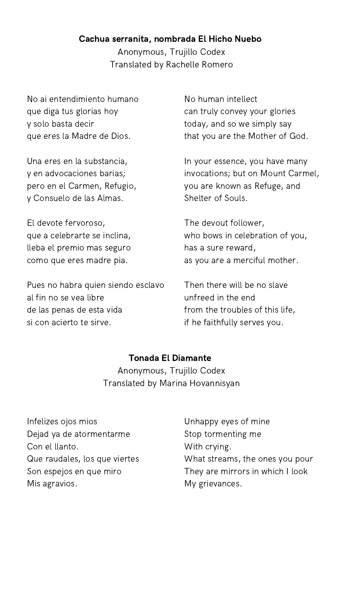No ai entendimiento humano que diga tus glorias hoy y solo basta decir que eres la Madre de Dios.

Una eres en la substancia, y en advocaciones barias; pero en el Carmen, Refugio, y Consuelo de las Almas.

El devote fervoroso, que a celebrarte se inclina, lleba el premio mas seguro como que eres madre pia.

Pues no habra quien siendo esclavo al fin no se vea libre de las penas de esta vida si con acierto te sirve.

Infelizes ojos mios Dejad ya de atormentarme Con el llanto. Que raudales, los que viertes Son espejos en que miro Mis agravios.

No human intellect can truly convey your glories today, and so we simply say that you are the Mother of God.

In your essence, you have many invocations; but on Mount Carmel, you are known as Refuge, and Shelter of Souls.

The devout follower, who bows in celebration of you, has a sure reward, as you are a merciful mother.

Then there will be no slave unfreed in the end from the troubles of this life, if he faithfully serves you.

Unhappy eyes of mine Stop tormenting me With crying. What streams, the ones you pour They are mirrors in which I look My grievances.

#### Cachua serranita, nombrada El Hicho Nuebo

Anonymous, Trujillo Codex Translated by Rachelle Romero

Tonada El Diamante Anonymous, Trujillo Codex

Translated by Marina Hovannisyan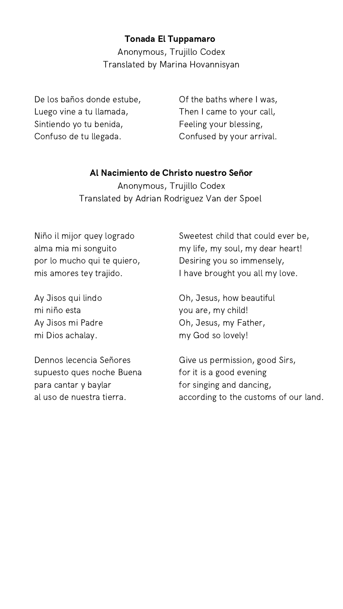De los baños donde estube, Luego vine a tu llamada, Sintiendo yo tu benida, Confuso de tu llegada.

Niño il mijor quey logrado alma mia mi songuito por lo mucho qui te quiero, mis amores tey trajido.

Ay Jisos qui lindo mi niño esta Ay Jisos mi Padre mi Dios achalay.

Dennos lecencia Señores supuesto ques noche Buena

para cantar y baylar al uso de nuestra tierra. Of the baths where I was, Then I came to your call, Feeling your blessing, Confused by your arrival.

Sweetest child that could ever be, my life, my soul, my dear heart! Desiring you so immensely, I have brought you all my love.

Oh, Jesus, how beautiful you are, my child! Oh, Jesus, my Father, my God so lovely!

Give us permission, good Sirs, for it is a good evening

for singing and dancing, according to the customs of our land.

#### Tonada El Tuppamaro

Anonymous, Trujillo Codex Translated by Marina Hovannisyan

#### Al Nacimiento de Christo nuestro Señor

Anonymous, Trujillo Codex Translated by Adrian Rodriguez Van der Spoel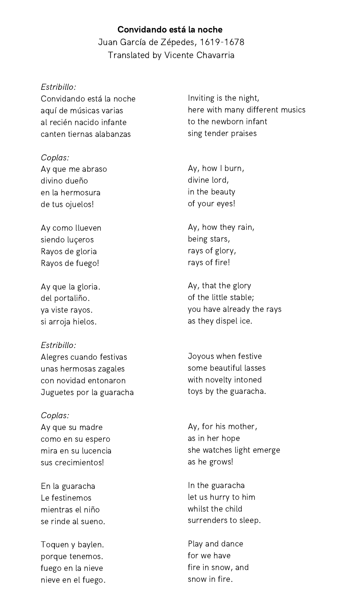#### Estribillo:

Convidando está la noche aquí de músicas varias al recién nacido infante canten tiernas alabanzas

#### Coplas:

Ay que me abraso divino dueño en la hermosura de tus ojuelos!

Ay como llueven siendo luçeros Rayos de gloria Rayos de fuego!

Ay que la gloria. del portaliño. ya viste rayos. si arroja hielos.

Estribillo: Alegres cuando festivas unas hermosas zagales con novidad entonaron Juguetes por la guaracha

Coplas: Ay que su madre como en su espero mira en su lucencia sus crecimientos!

En la guaracha Le festinemos mientras el niño se rinde al sueno.

Toquen y baylen. porque tenemos. fuego en la nieve nieve en el fuego.

Inviting is the night, here with many different musics to the newborn infant sing tender praises

Ay, how I burn, divine lord, in the beauty of your eyes!

Ay, how they rain, being stars, rays of glory, rays of fire!

Ay, that the glory of the little stable; you have already the rays as they dispel ice.

Joyous when festive some beautiful lasses with novelty intoned toys by the guaracha.

Ay, for his mother, as in her hope she watches light emerge as he grows!

In the guaracha let us hurry to him whilst the child surrenders to sleep.

Play and dance for we have fire in snow, and snow in fire.

### Convidando está la noche Juan García de Zépedes, 1619-1678 Translated by Vicente Chavarria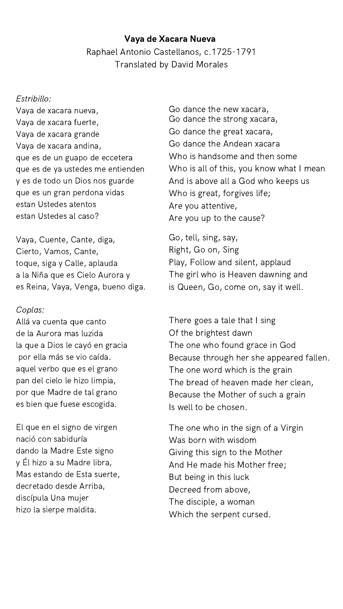#### Estribillo:

Vaya de xacara nueva, Vaya de xacara fuerte, Vaya de xacara grande Vaya de xacara andina, que es de un guapo de eccetera que es de ya ustedes me entienden y es de todo un Dios nos guarde que es un gran perdona vidas estan Ustedes atentos estan Ustedes al caso?

Vaya, Cuente, Cante, diga, Cierto, Vamos, Cante, toque, siga y Calle, aplauda a la Niña que es Cielo Aurora y es Reina, Vaya, Venga, bueno diga.

#### Coplas:

Allá va cuenta que canto de la Aurora mas luzida la que a Dios le cayó en gracia por ella más se vio caída. aquel verbo que es el grano pan del cielo le hizo limpia, por que Madre de tal grano es bien que fuese escogida.

El que en el signo de virgen nació con sabiduría dando la Madre Este signo y Él hizo a su Madre libra, Mas estando de Esta suerte, decretado desde Arriba, discípula Una mujer hizo la sierpe maldita.

Go dance the new xacara, Go dance the strong xacara, Go dance the great xacara, Go dance the Andean xacara Who is handsome and then some Who is all of this, you know what I mean And is above all a God who keeps us Who is great, forgives life; Are you attentive, Are you up to the cause?

Go, tell, sing, say, Right, Go on, Sing Play, Follow and silent, applaud The girl who is Heaven dawning and is Queen, Go, come on, say it well.

There goes a tale that I sing Of the brightest dawn The one who found grace in God Because through her she appeared fallen. The one word which is the grain The bread of heaven made her clean, Because the Mother of such a grain Is well to be chosen.

The one who in the sign of a Virgin Was born with wisdom Giving this sign to the Mother And He made his Mother free; But being in this luck Decreed from above, The disciple, a woman Which the serpent cursed.

#### Vaya de Xacara Nueva

Raphael Antonio Castellanos, c.1725-1791 Translated by David Morales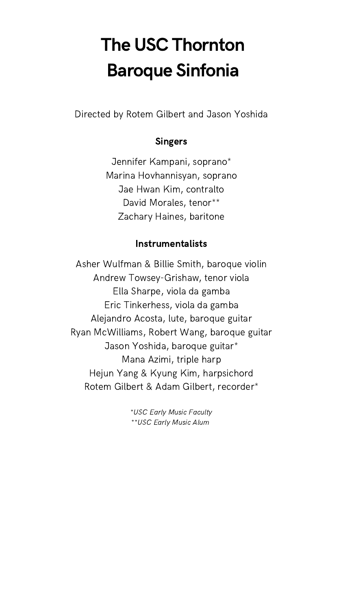# The USC Thornton Baroque Sinfonia

[Directed](https://music.usc.edu/lucinda-carver/) by Rotem Gilbert and Jason Yoshida

### [Singers](https://music.usc.edu/lucinda-carver/)

Jennifer [Kampani,](https://music.usc.edu/lucinda-carver/) soprano\* Marina [Hovhannisyan,](https://music.usc.edu/lucinda-carver/) soprano Jae Hwan Kim, [contralto](https://music.usc.edu/lucinda-carver/) David [Morales,](https://music.usc.edu/lucinda-carver/) tenor\*\* Zachary [Haines,](https://music.usc.edu/lucinda-carver/) baritone

#### [Instrumentalists](https://music.usc.edu/lucinda-carver/)

[Ashe](https://music.usc.edu/lucinda-carver/)r [Wulfman](https://music.usc.edu/lucinda-carver/) & Billie Smith, baroque violin Andrew [Towsey-Grishaw,](https://music.usc.edu/lucinda-carver/) tenor viola Ella [Sharpe,](https://music.usc.edu/lucinda-carver/) viola da gamba Eric [Tinkerhess,](https://music.usc.edu/lucinda-carver/) viola da gamba Alejandro [Acosta,](https://music.usc.edu/lucinda-carver/) lute, baroque guitar Ryan [McWilliams,](https://music.usc.edu/lucinda-carver/) Robert Wang, baroque guitar Jason [Yoshida,](https://music.usc.edu/lucinda-carver/) baroque guitar\* Mana [Azimi,](https://music.usc.edu/lucinda-carver/) triple harp Hejun Yang & Kyung Kim, [harpsichord](https://music.usc.edu/lucinda-carver/)

Rotem Gilbert & Adam [Gilbert,](https://music.usc.edu/lucinda-carver/) recorder\*

[\\*U](https://music.usc.edu/lucinda-carver/)SC Early Music [Faculty](https://music.usc.edu/lucinda-carver/) [\\*\\*U](https://music.usc.edu/lucinda-carver/)SC Early [Music](https://music.usc.edu/lucinda-carver/) Alu[m](https://music.usc.edu/lucinda-carver/)